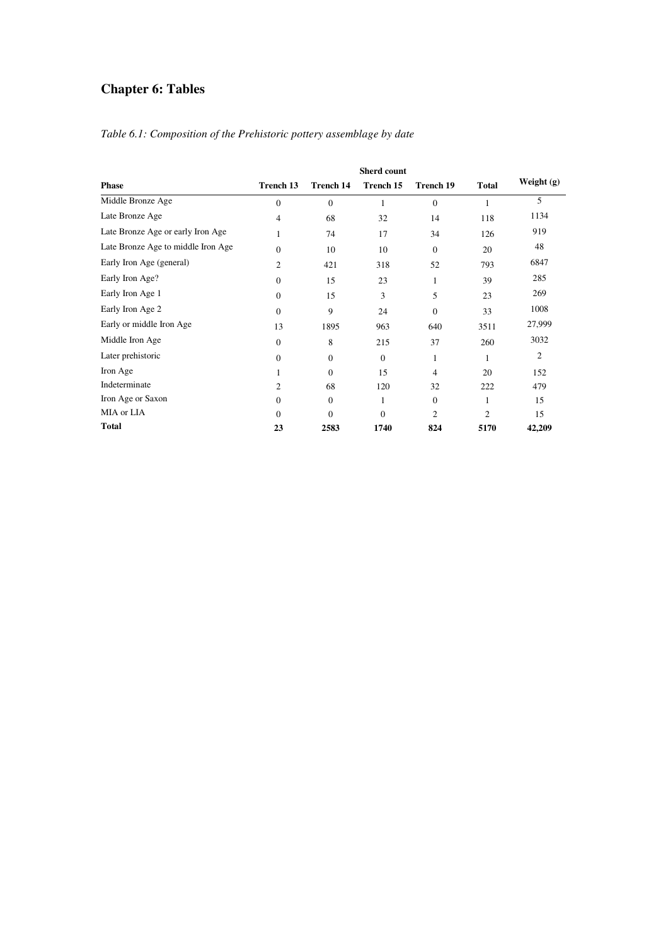# **Chapter 6: Tables**

|                                    |                |                  | <b>Sherd count</b> |                  |                |              |
|------------------------------------|----------------|------------------|--------------------|------------------|----------------|--------------|
| <b>Phase</b>                       | Trench 13      | <b>Trench 14</b> | Trench 15          | Trench 19        | <b>Total</b>   | Weight $(g)$ |
| Middle Bronze Age                  | $\Omega$       | $\Omega$         | 1                  | $\theta$         | 1              | 5            |
| Late Bronze Age                    | 4              | 68               | 32                 | 14               | 118            | 1134         |
| Late Bronze Age or early Iron Age  | 1              | 74               | 17                 | 34               | 126            | 919          |
| Late Bronze Age to middle Iron Age | $\Omega$       | 10               | 10                 | $\boldsymbol{0}$ | 20             | 48           |
| Early Iron Age (general)           | $\overline{c}$ | 421              | 318                | 52               | 793            | 6847         |
| Early Iron Age?                    | $\Omega$       | 15               | 23                 | 1                | 39             | 285          |
| Early Iron Age 1                   | $\Omega$       | 15               | 3                  | 5                | 23             | 269          |
| Early Iron Age 2                   | $\Omega$       | 9                | 24                 | $\theta$         | 33             | 1008         |
| Early or middle Iron Age           | 13             | 1895             | 963                | 640              | 3511           | 27,999       |
| Middle Iron Age                    | $\overline{0}$ | 8                | 215                | 37               | 260            | 3032         |
| Later prehistoric                  | $\theta$       | $\mathbf{0}$     | $\theta$           | 1                | 1              | 2            |
| Iron Age                           |                | $\Omega$         | 15                 | $\overline{4}$   | 20             | 152          |
| Indeterminate                      | $\overline{c}$ | 68               | 120                | 32               | 222            | 479          |
| Iron Age or Saxon                  | $\Omega$       | $\theta$         | 1                  | $\theta$         | 1              | 15           |
| MIA or LIA                         | $\Omega$       | $\mathbf{0}$     | $\theta$           | $\overline{c}$   | $\overline{c}$ | 15           |
| <b>Total</b>                       | 23             | 2583             | 1740               | 824              | 5170           | 42,209       |

#### *Table 6.1: Composition of the Prehistoric pottery assemblage by date*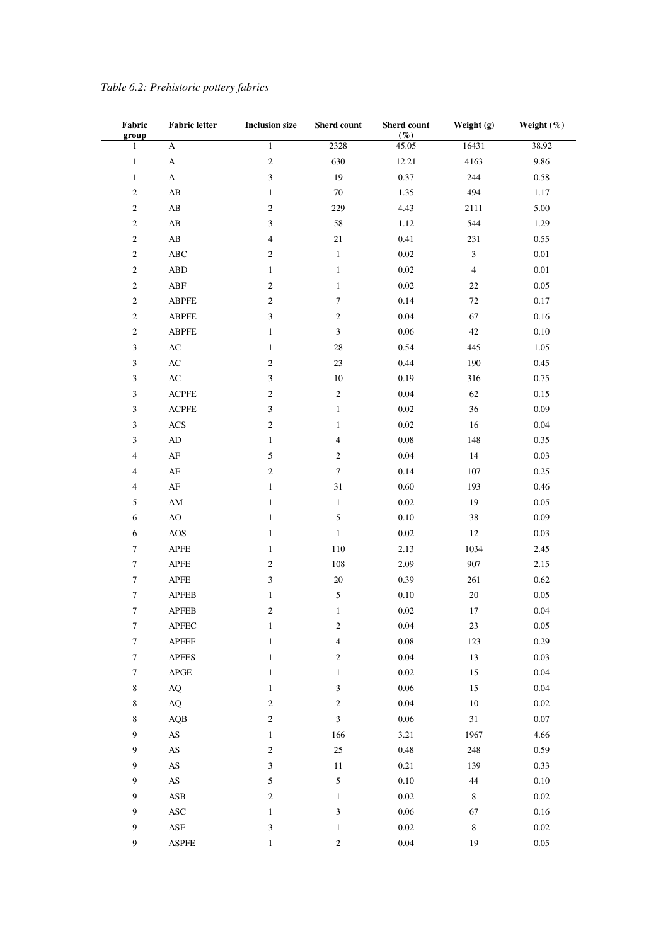| Fabric                  | <b>Fabric letter</b>        | <b>Inclusion size</b>    | Sherd count                 | Sherd count<br>$(\%)$ | Weight (g)                  | Weight (%) |
|-------------------------|-----------------------------|--------------------------|-----------------------------|-----------------------|-----------------------------|------------|
| group<br>$\mathbf{1}$   | A                           | $\,1$                    | 2328                        | 45.05                 | 16431                       | 38.92      |
| $\mathbf{1}$            | A                           | $\boldsymbol{2}$         | 630                         | 12.21                 | 4163                        | 9.86       |
| $\mathbf{1}$            | $\boldsymbol{\mathsf{A}}$   | 3                        | 19                          | 0.37                  | 244                         | $0.58\,$   |
| $\overline{\mathbf{c}}$ | $\mathbf{A}\mathbf{B}$      | $\mathbf{1}$             | $70\,$                      | 1.35                  | 494                         | 1.17       |
| $\overline{c}$          | $\mathbf{A}\mathbf{B}$      | $\sqrt{2}$               | 229                         | 4.43                  | 2111                        | 5.00       |
| $\boldsymbol{2}$        | $\mathbf{A}\mathbf{B}$      | 3                        | 58                          | 1.12                  | 544                         | 1.29       |
| $\boldsymbol{2}$        | $\mathbf{A}\mathbf{B}$      | $\overline{\mathcal{A}}$ | $21\,$                      | 0.41                  | 231                         | 0.55       |
| $\overline{\mathbf{c}}$ | $\mathbf{ABC}$              | $\overline{c}$           | $\mathbf{1}$                | $0.02\,$              | $\ensuremath{\mathfrak{Z}}$ | $0.01\,$   |
| $\overline{c}$          | <b>ABD</b>                  | $\mathbf{1}$             | $\mathbf{1}$                | $0.02\,$              | $\sqrt{4}$                  | 0.01       |
| $\boldsymbol{2}$        | ${\bf A} {\bf B} {\bf F}$   | $\sqrt{2}$               | $\mathbf{1}$                | $0.02\,$              | $22\,$                      | 0.05       |
| 2                       | <b>ABPFE</b>                | 2                        | 7                           | 0.14                  | $72\,$                      | $0.17\,$   |
| $\overline{\mathbf{c}}$ | ABPFE                       | 3                        | $\sqrt{2}$                  | $0.04\,$              | 67                          | $0.16\,$   |
| $\overline{\mathbf{c}}$ | <b>ABPFE</b>                | $\mathbf{1}$             | $\ensuremath{\mathfrak{Z}}$ | $0.06\,$              | $42\,$                      | $0.10\,$   |
| 3                       | $\mathbf{A}\mathbf{C}$      | $\mathbf{1}$             | $28\,$                      | 0.54                  | 445                         | 1.05       |
| 3                       | $\mathbf{A}\mathbf{C}$      | $\boldsymbol{2}$         | $23\,$                      | 0.44                  | 190                         | 0.45       |
| 3                       | $\mathbf{A}\mathbf{C}$      | 3                        | $10\,$                      | 0.19                  | 316                         | 0.75       |
| 3                       | <b>ACPFE</b>                | 2                        | $\,2$                       | $0.04\,$              | 62                          | 0.15       |
| 3                       | <b>ACPFE</b>                | 3                        | $\mathbf{1}$                | $0.02\,$              | $36\,$                      | 0.09       |
| 3                       | $\rm ACS$                   | $\sqrt{2}$               | $\mathbf{1}$                | $0.02\,$              | $16\,$                      | $0.04\,$   |
| 3                       | $\rm{AD}$                   | $\mathbf{1}$             | $\overline{\mathbf{4}}$     | $0.08\,$              | 148                         | 0.35       |
| 4                       | $\rm AF$                    | 5                        | $\,2$                       | $0.04\,$              | 14                          | 0.03       |
| 4                       | $\rm AF$                    | $\sqrt{2}$               | $\tau$                      | 0.14                  | 107                         | 0.25       |
| 4                       | $\rm AF$                    | $\,1\,$                  | 31                          | $0.60\,$              | 193                         | 0.46       |
| 5                       | $\mathbf{A}\mathbf{M}$      | $\mathbf{1}$             | $\mathbf{1}$                | $0.02\,$              | 19                          | 0.05       |
| 6                       | $\rm AO$                    | $\mathbf{1}$             | $\mathfrak s$               | $0.10\,$              | $38\,$                      | 0.09       |
| 6                       | AOS                         | $\mathbf{1}$             | $\,1$                       | $0.02\,$              | $12\,$                      | 0.03       |
| 7                       | APFE                        | $\mathbf{1}$             | $110\,$                     | 2.13                  | 1034                        | 2.45       |
| $\boldsymbol{7}$        | $\mathsf{APFE}$             | $\overline{c}$           | $108\,$                     | 2.09                  | 907                         | 2.15       |
| $\boldsymbol{7}$        | $\operatorname{APFE}$       | $\mathfrak{Z}$           | $20\,$                      | 0.39                  | 261                         | 0.62       |
| 7                       | ${\sf APFEB}$               | $\mathbf{1}$             | $\mathfrak s$               | $0.10\,$              | $20\,$                      | 0.05       |
| $\boldsymbol{7}$        | <b>APFEB</b>                | $\sqrt{2}$               | $\mathbf{1}$                | $0.02\,$              | 17                          | 0.04       |
| $\tau$                  | <b>APFEC</b>                | $\mathbf{1}$             | $\sqrt{2}$                  | 0.04                  | 23                          | 0.05       |
| $\boldsymbol{7}$        | ${\sf APFEF}$               | $\,1\,$                  | $\overline{\mathbf{4}}$     | $0.08\,$              | 123                         | 0.29       |
| 7                       | <b>APFES</b>                | $\mathbf{1}$             | $\boldsymbol{2}$            | $0.04\,$              | 13                          | 0.03       |
| 7                       | $\rm{APGE}$                 | $\mathbf{1}$             | $\mathbf{1}$                | $0.02\,$              | $15\,$                      | $0.04\,$   |
| 8                       | $\rm{AQ}$                   | $\mathbf{1}$             | 3                           | 0.06                  | 15                          | 0.04       |
| 8                       | $\rm{AQ}$                   | $\boldsymbol{2}$         | $\boldsymbol{2}$            | $0.04\,$              | $10\,$                      | $0.02\,$   |
| 8                       | $\rm AQB$                   | $\sqrt{2}$               | $\mathfrak{Z}$              | $0.06\,$              | $31\,$                      | $0.07\,$   |
| 9                       | $\mathbf{A}\mathbf{S}$      | $\mathbf{1}$             | 166                         | 3.21                  | 1967                        | 4.66       |
| $\boldsymbol{9}$        | $\mathbf{A}\mathbf{S}$      | $\sqrt{2}$               | $25\,$                      | $0.48\,$              | 248                         | 0.59       |
| 9                       | $\mathbf{A}\mathbf{S}$      | 3                        | 11                          | 0.21                  | 139                         | 0.33       |
| 9                       | $\mathbf{A}\mathbf{S}$      | 5                        | 5                           | $0.10\,$              | $44\,$                      | $0.10\,$   |
| 9                       | $\mathbf{ASB}$              | $\sqrt{2}$               | $\mathbf{1}$                | $0.02\,$              | $\,$ 8 $\,$                 | $0.02\,$   |
| 9                       | $\boldsymbol{\mathsf{ASC}}$ | $\mathbf{1}$             | 3                           | $0.06\,$              | 67                          | $0.16\,$   |
| 9                       | $\operatorname{ASP}$        | 3                        | $\mathbf{1}$                | $0.02\,$              | $\,$ 8 $\,$                 | $0.02\,$   |
| 9                       | <b>ASPFE</b>                | $\,1\,$                  | $\mathfrak{2}$              | 0.04                  | 19                          | 0.05       |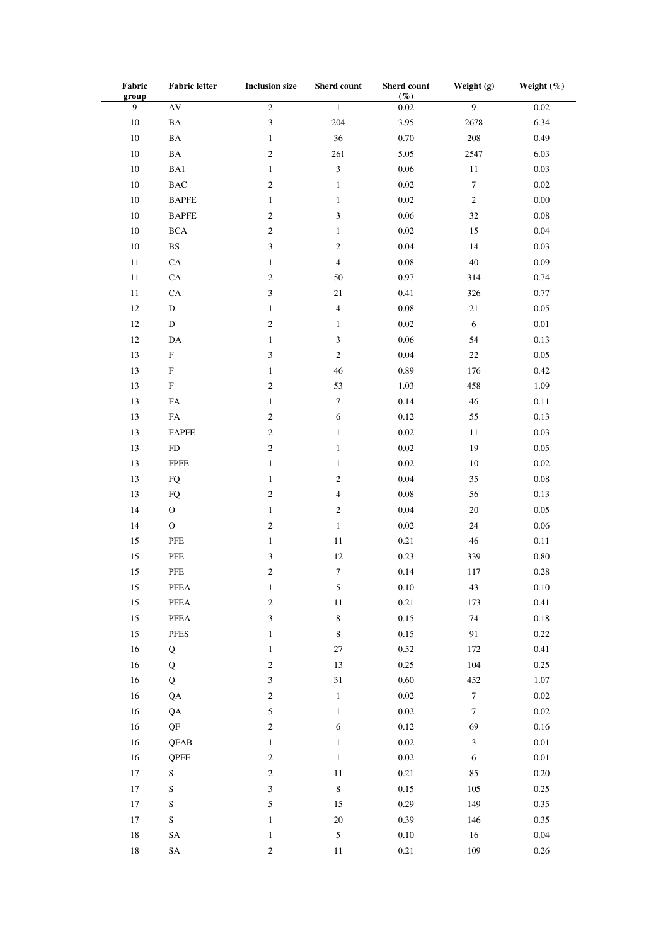| Fabric                  | <b>Fabric letter</b>                                              | <b>Inclusion size</b>       | Sherd count      | Sherd count    | Weight (g)                  | Weight $(\%)$ |
|-------------------------|-------------------------------------------------------------------|-----------------------------|------------------|----------------|-----------------------------|---------------|
| group<br>$\overline{9}$ | AV                                                                | $\overline{\mathbf{2}}$     | $1\,$            | $(\%)$<br>0.02 | $\overline{9}$              | 0.02          |
|                         |                                                                   |                             |                  |                |                             |               |
| $10\,$                  | $\mathbf{BA}$                                                     | $\mathfrak z$               | 204              | 3.95           | 2678                        | 6.34          |
| $10\,$                  | $\mathbf{BA}$                                                     | $\mathbf{1}$                | 36               | 0.70           | $208\,$                     | 0.49          |
| $10\,$                  | $\mathbf{BA}$                                                     | $\mathfrak{2}$              | 261              | 5.05           | 2547                        | 6.03          |
| $10\,$                  | BA1                                                               | $\mathbf{1}$                | $\mathfrak{Z}$   | $0.06\,$       | $11\,$                      | 0.03          |
| $10\,$                  | $_{\rm BAC}$                                                      | $\mathfrak{2}$              | $\mathbf{1}$     | $0.02\,$       | $\boldsymbol{7}$            | $0.02\,$      |
| $10\,$                  | <b>BAPFE</b>                                                      | $\mathbf{1}$                | $\mathbf{1}$     | $0.02\,$       | $\sqrt{2}$                  | $0.00\,$      |
| $10\,$                  | $\ensuremath{\mathsf{B}}\xspace\ensuremath{\mathsf{APFE}}\xspace$ | $\overline{c}$              | $\mathfrak{Z}$   | $0.06\,$       | 32                          | $0.08\,$      |
| $10\,$                  | $_{\rm BCA}$                                                      | $\sqrt{2}$                  | $\mathbf{1}$     | $0.02\,$       | 15                          | $0.04\,$      |
| $10\,$                  | $\mathbf{B}\mathbf{S}$                                            | 3                           | $\sqrt{2}$       | 0.04           | 14                          | 0.03          |
| $11\,$                  | ${\rm CA}$                                                        | $\mathbf{1}$                | $\overline{4}$   | $0.08\,$       | $40\,$                      | $0.09\,$      |
| $11\,$                  | ${\rm CA}$                                                        | $\sqrt{2}$                  | 50               | $0.97\,$       | 314                         | 0.74          |
| $11\,$                  | ${\rm CA}$                                                        | 3                           | $21\,$           | 0.41           | 326                         | 0.77          |
| $12\,$                  | $\mathbf D$                                                       | $\mathbf{1}$                | $\overline{4}$   | $0.08\,$       | $21\,$                      | $0.05\,$      |
| $12\,$                  | ${\rm D}$                                                         | $\mathfrak{2}$              | $\mathbf{1}$     | $0.02\,$       | $\sqrt{6}$                  | $0.01\,$      |
| $12\,$                  | $\mathbf{DA}$                                                     | $\mathbf{1}$                | $\mathfrak{Z}$   | $0.06\,$       | 54                          | 0.13          |
| 13                      | $\boldsymbol{\mathrm{F}}$                                         | 3                           | $\sqrt{2}$       | 0.04           | $22\,$                      | $0.05\,$      |
| 13                      | ${\bf F}$                                                         | $\mathbf{1}$                | 46               | 0.89           | 176                         | 0.42          |
| 13                      | $\boldsymbol{\mathrm{F}}$                                         | $\mathfrak{2}$              | 53               | 1.03           | 458                         | 1.09          |
| 13                      | ${\rm FA}$                                                        | $\mathbf{1}$                | $\boldsymbol{7}$ | 0.14           | 46                          | $0.11\,$      |
| 13                      | ${\rm FA}$                                                        | $\overline{c}$              | 6                | $0.12\,$       | 55                          | 0.13          |
| 13                      | FAPFE                                                             | $\sqrt{2}$                  | $\mathbf{1}$     | $0.02\,$       | $11\,$                      | 0.03          |
| 13                      | ${\rm FD}$                                                        | $\sqrt{2}$                  | $\mathbf{1}$     | $0.02\,$       | 19                          | $0.05\,$      |
| 13                      | ${\rm FPE}$                                                       | $\mathbf{1}$                | $\mathbf{1}$     | $0.02\,$       | $10\,$                      | $0.02\,$      |
| 13                      | ${\rm FQ}$                                                        | $\mathbf{1}$                | $\sqrt{2}$       | $0.04\,$       | 35                          | $0.08\,$      |
| 13                      | ${\rm FQ}$                                                        | $\sqrt{2}$                  | $\overline{4}$   | $0.08\,$       | 56                          | 0.13          |
| 14                      | $\rm{O}$                                                          | $\mathbf{1}$                | $\sqrt{2}$       | $0.04\,$       | $20\,$                      | $0.05\,$      |
| 14                      | $\mathcal O$                                                      | $\mathfrak{2}$              | $\mathbf{1}$     | $0.02\,$       | 24                          | $0.06\,$      |
| 15                      | ${\rm PFE}$                                                       | $\mathbf{1}$                | $1\,1$           | 0.21           | 46                          | $0.11\,$      |
| 15                      | ${\rm PFE}$                                                       | $\ensuremath{\mathfrak{Z}}$ | 12               | 0.23           | 339                         | $0.80\,$      |
| 15                      | ${\rm PFE}$                                                       | $\mathfrak{2}$              | $\boldsymbol{7}$ | 0.14           | 117                         | $0.28\,$      |
| 15                      | PFEA                                                              | $\mathbf{1}$                | 5                | $0.10\,$       | 43                          | $0.10\,$      |
| $15\,$                  | ${\tt PFEA}$                                                      | $\sqrt{2}$                  | $1\,1$           | 0.21           | 173                         | 0.41          |
| $15\,$                  | ${\tt PFEA}$                                                      | $\mathfrak{Z}$              | $\,8\,$          | 0.15           | $74\,$                      | $0.18\,$      |
| 15                      | <b>PFES</b>                                                       | $\mathbf{1}$                | $\,8\,$          | $0.15\,$       | 91                          | 0.22          |
| $16\,$                  | Q                                                                 | $\mathbf{1}$                | $27\,$           | $0.52\,$       | 172                         | 0.41          |
| $16\,$                  | Q                                                                 | $\sqrt{2}$                  | 13               | 0.25           | 104                         | 0.25          |
| $16\,$                  | $\bf Q$                                                           | $\ensuremath{\mathfrak{Z}}$ | $31\,$           | $0.60\,$       | 452                         | $1.07\,$      |
| $16\,$                  | QA                                                                | $\sqrt{2}$                  | $\,1\,$          | $0.02\,$       | $\boldsymbol{7}$            | $0.02\,$      |
| $16\,$                  | QA                                                                | $\sqrt{5}$                  | $\,1$            | $0.02\,$       | $\boldsymbol{7}$            | $0.02\,$      |
|                         |                                                                   |                             |                  |                |                             |               |
| $16\,$                  | $\mathrm{QF}$                                                     | $\sqrt{2}$                  | 6                | $0.12\,$       | 69                          | $0.16\,$      |
| $16\,$                  | <b>QFAB</b>                                                       | $\mathbf{1}$                | $\mathbf{1}$     | $0.02\,$       | $\ensuremath{\mathfrak{Z}}$ | $0.01\,$      |
| $16\,$                  | QPFE                                                              | $\sqrt{2}$                  | $\,1$            | $0.02\,$       | $\sqrt{6}$                  | $0.01\,$      |
| $17\,$                  | ${\bf S}$                                                         | $\sqrt{2}$                  | $11\,$           | 0.21           | 85                          | $0.20\,$      |
| $17\,$                  | ${\bf S}$                                                         | 3                           | $\,8\,$          | $0.15\,$       | 105                         | $0.25\,$      |
| $17\,$                  | ${\bf S}$                                                         | $\sqrt{5}$                  | 15               | 0.29           | 149                         | 0.35          |
| $17\,$                  | ${\bf S}$                                                         | $\,1$                       | $20\,$           | 0.39           | 146                         | 0.35          |
| $18\,$                  | ${\rm SA}$                                                        | $\mathbf{1}$                | $\sqrt{5}$       | $0.10\,$       | 16                          | $0.04\,$      |
| $18\,$                  | ${\rm SA}$                                                        | $\sqrt{2}$                  | $11\,$           | 0.21           | 109                         | $0.26\,$      |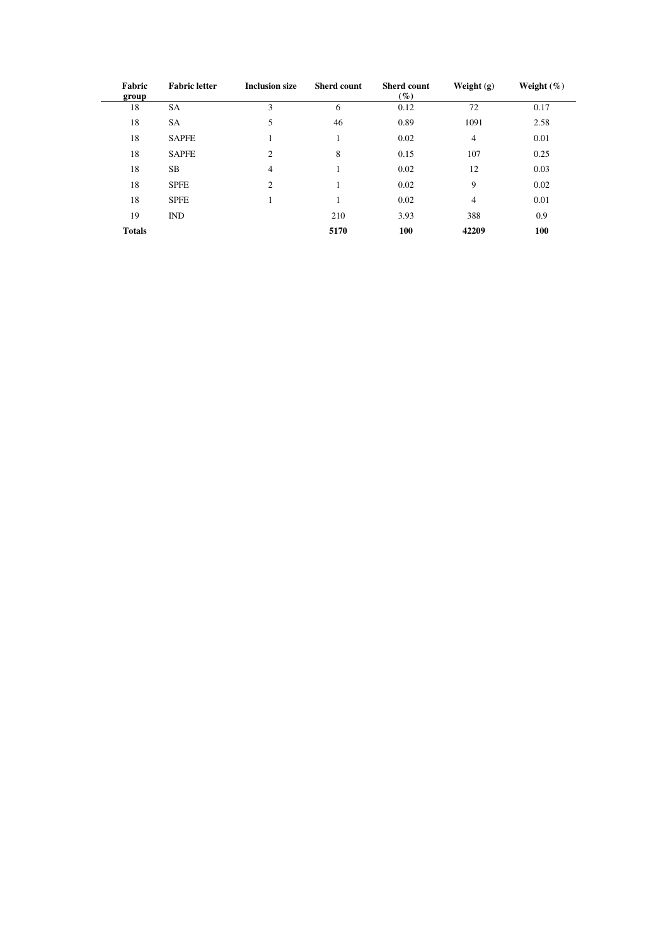| Fabric<br>group | <b>Fabric letter</b> | <b>Inclusion size</b> | <b>Sherd count</b> | <b>Sherd count</b><br>$( \% )$ | Weight $(g)$   | Weight $(\%)$ |
|-----------------|----------------------|-----------------------|--------------------|--------------------------------|----------------|---------------|
| 18              | SA                   | 3                     | 6                  | 0.12                           | 72             | 0.17          |
| 18              | SA                   | 5                     | 46                 | 0.89                           | 1091           | 2.58          |
| 18              | <b>SAPFE</b>         |                       |                    | 0.02                           | $\overline{4}$ | 0.01          |
| 18              | <b>SAPFE</b>         | 2                     | 8                  | 0.15                           | 107            | 0.25          |
| 18              | SВ                   | 4                     |                    | 0.02                           | 12             | 0.03          |
| 18              | <b>SPFE</b>          | 2                     |                    | 0.02                           | 9              | 0.02          |
| 18              | <b>SPFE</b>          |                       |                    | 0.02                           | $\overline{4}$ | 0.01          |
| 19              | <b>IND</b>           |                       | 210                | 3.93                           | 388            | 0.9           |
| <b>Totals</b>   |                      |                       | 5170               | 100                            | 42209          | 100           |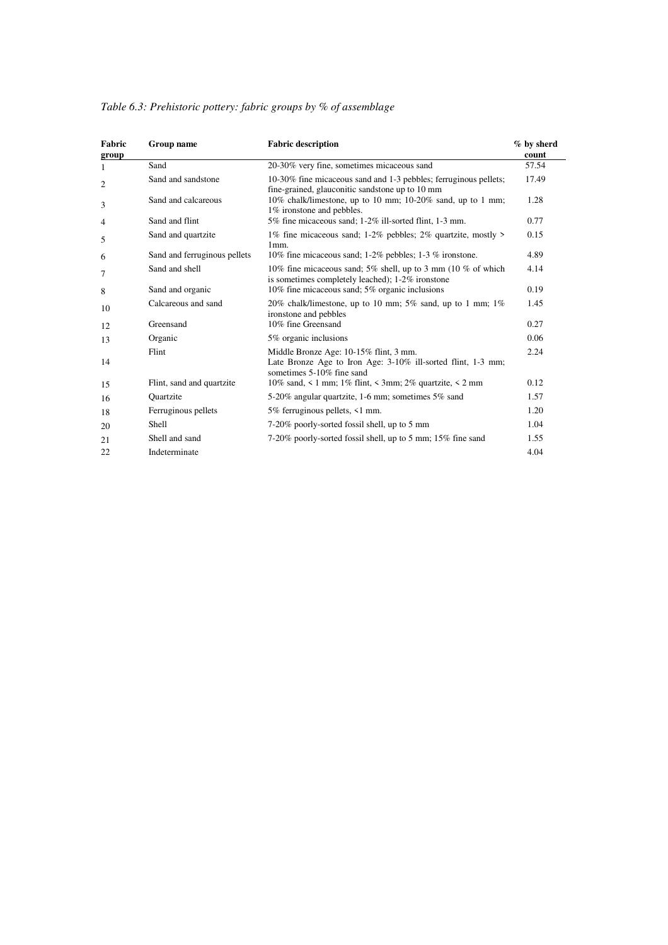| Fabric<br>group | Group name                   | <b>Fabric description</b>                                                                                                           | % by sherd<br>count |
|-----------------|------------------------------|-------------------------------------------------------------------------------------------------------------------------------------|---------------------|
| 1               | Sand                         | 20-30% very fine, sometimes micaceous sand                                                                                          | 57.54               |
| 2               | Sand and sandstone           | 10-30% fine micaceous sand and 1-3 pebbles; ferruginous pellets;<br>fine-grained, glauconitic sandstone up to 10 mm                 | 17.49               |
| 3               | Sand and calcareous          | 10% chalk/limestone, up to 10 mm; 10-20% sand, up to 1 mm;<br>1% ironstone and pebbles.                                             | 1.28                |
| 4               | Sand and flint               | 5% fine micaceous sand; 1-2% ill-sorted flint, 1-3 mm.                                                                              | 0.77                |
| 5               | Sand and quartzite           | 1% fine micaceous sand; 1-2% pebbles; 2% quartzite, mostly ><br>1mm.                                                                | 0.15                |
| 6               | Sand and ferruginous pellets | 10% fine micaceous sand; 1-2% pebbles; 1-3 % ironstone.                                                                             | 4.89                |
| 7               | Sand and shell               | 10% fine micaceous sand; 5% shell, up to 3 mm (10 % of which<br>is sometimes completely leached); 1-2% ironstone                    | 4.14                |
| 8               | Sand and organic             | 10% fine micaceous sand; 5% organic inclusions                                                                                      | 0.19                |
| 10              | Calcareous and sand          | 20% chalk/limestone, up to 10 mm; 5% sand, up to 1 mm; $1\%$<br>ironstone and pebbles                                               | 1.45                |
| 12              | Greensand                    | 10% fine Greensand                                                                                                                  | 0.27                |
| 13              | Organic                      | 5% organic inclusions                                                                                                               | 0.06                |
| 14              | Flint                        | Middle Bronze Age: 10-15% flint, 3 mm.<br>Late Bronze Age to Iron Age: 3-10% ill-sorted flint, 1-3 mm;<br>sometimes 5-10% fine sand | 2.24                |
| 15              | Flint, sand and quartzite    | 10% sand, < 1 mm; 1% flint, < 3mm; 2% quartzite, < 2 mm                                                                             | 0.12                |
| 16              | Quartzite                    | 5-20% angular quartzite, 1-6 mm; sometimes 5% sand                                                                                  | 1.57                |
| 18              | Ferruginous pellets          | 5% ferruginous pellets, <1 mm.                                                                                                      | 1.20                |
| 20              | <b>Shell</b>                 | 7-20% poorly-sorted fossil shell, up to 5 mm                                                                                        | 1.04                |
| 21              | Shell and sand               | 7-20% poorly-sorted fossil shell, up to 5 mm; 15% fine sand                                                                         | 1.55                |
| 22              | Indeterminate                |                                                                                                                                     | 4.04                |

*Table 6.3: Prehistoric pottery: fabric groups by % of assemblage*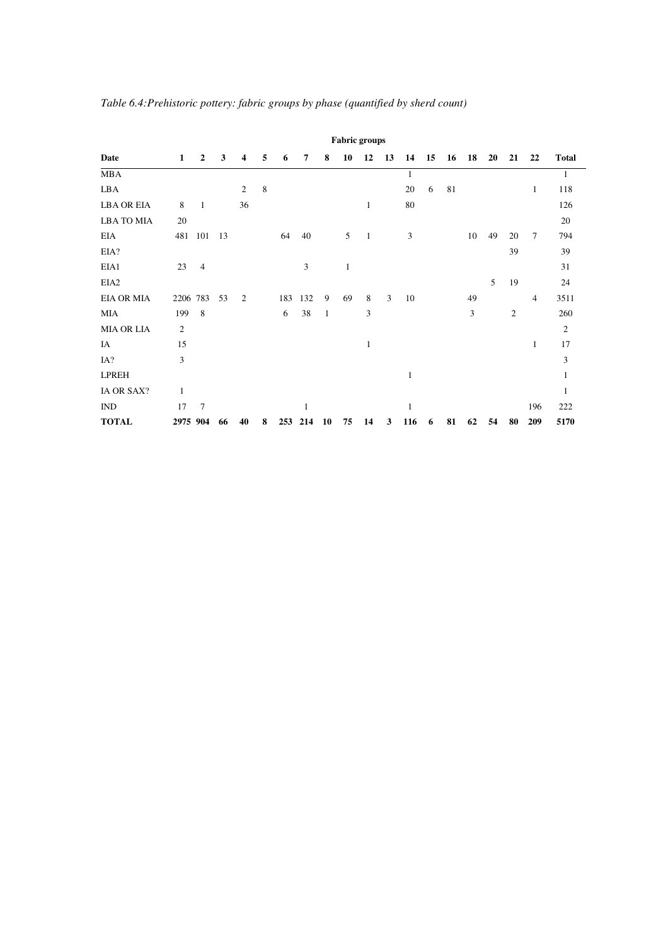|                   |                |                |    |    |   |     |     |              | <b>Fabric groups</b> |              |    |                |    |    |    |    |    |        |                |
|-------------------|----------------|----------------|----|----|---|-----|-----|--------------|----------------------|--------------|----|----------------|----|----|----|----|----|--------|----------------|
| Date              | 1              | $\overline{2}$ | 3  | 4  | 5 | 6   | 7   | 8            | 10                   | 12           | 13 | 14             | 15 | 16 | 18 | 20 | 21 | 22     | <b>Total</b>   |
| <b>MBA</b>        |                |                |    |    |   |     |     |              |                      |              |    | 1              |    |    |    |    |    |        | 1              |
| LBA               |                |                |    | 2  | 8 |     |     |              |                      |              |    | 20             | 6  | 81 |    |    |    | 1      | 118            |
| <b>LBA OR EIA</b> | 8              | 1              |    | 36 |   |     |     |              |                      | 1            |    | 80             |    |    |    |    |    |        | 126            |
| <b>LBA TO MIA</b> | 20             |                |    |    |   |     |     |              |                      |              |    |                |    |    |    |    |    |        | 20             |
| <b>EIA</b>        | 481            | 101            | 13 |    |   | 64  | 40  |              | 5                    | $\mathbf{1}$ |    | $\mathfrak{Z}$ |    |    | 10 | 49 | 20 | $\tau$ | 794            |
| EIA?              |                |                |    |    |   |     |     |              |                      |              |    |                |    |    |    |    | 39 |        | 39             |
| EIA1              | 23             | 4              |    |    |   |     | 3   |              | 1                    |              |    |                |    |    |    |    |    |        | 31             |
| EIA <sub>2</sub>  |                |                |    |    |   |     |     |              |                      |              |    |                |    |    |    | 5  | 19 |        | 24             |
| <b>EIA OR MIA</b> | 2206 783       |                | 53 | 2  |   | 183 | 132 | 9            | 69                   | 8            | 3  | 10             |    |    | 49 |    |    | 4      | 3511           |
| <b>MIA</b>        | 199            | 8              |    |    |   | 6   | 38  | $\mathbf{1}$ |                      | 3            |    |                |    |    | 3  |    | 2  |        | 260            |
| <b>MIA OR LIA</b> | $\mathfrak{2}$ |                |    |    |   |     |     |              |                      |              |    |                |    |    |    |    |    |        | $\overline{c}$ |
| IA                | 15             |                |    |    |   |     |     |              |                      | 1            |    |                |    |    |    |    |    | 1      | 17             |
| IA?               | 3              |                |    |    |   |     |     |              |                      |              |    |                |    |    |    |    |    |        | 3              |
| <b>LPREH</b>      |                |                |    |    |   |     |     |              |                      |              |    | 1              |    |    |    |    |    |        | 1              |
| IA OR SAX?        | 1              |                |    |    |   |     |     |              |                      |              |    |                |    |    |    |    |    |        | 1              |
| $\mathbf{IND}$    | 17             | 7              |    |    |   |     | 1   |              |                      |              |    | 1              |    |    |    |    |    | 196    | 222            |
| <b>TOTAL</b>      | 2975 904       |                | 66 | 40 | 8 | 253 | 214 | 10           | 75                   | 14           | 3  | 116            | 6  | 81 | 62 | 54 | 80 | 209    | 5170           |

*Table 6.4:Prehistoric pottery: fabric groups by phase (quantified by sherd count)*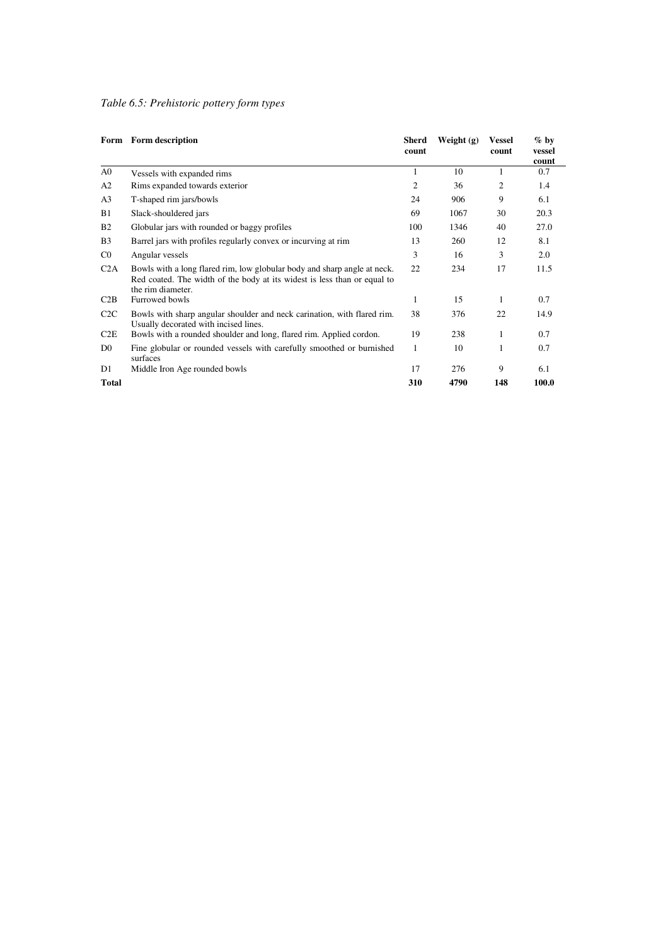## *Table 6.5: Prehistoric pottery form types*

|                | Form Form description                                                                                                                                                     | <b>Sherd</b><br>count | Weight $(g)$ | <b>Vessel</b><br>count | $\%$ by<br>vessel<br>count |
|----------------|---------------------------------------------------------------------------------------------------------------------------------------------------------------------------|-----------------------|--------------|------------------------|----------------------------|
| A <sub>0</sub> | Vessels with expanded rims                                                                                                                                                | 1                     | 10           | 1                      | 0.7                        |
| A2             | Rims expanded towards exterior                                                                                                                                            | 2                     | 36           | 2                      | 1.4                        |
| A <sub>3</sub> | T-shaped rim jars/bowls                                                                                                                                                   | 24                    | 906          | 9                      | 6.1                        |
| B1             | Slack-shouldered jars                                                                                                                                                     | 69                    | 1067         | 30                     | 20.3                       |
| <b>B2</b>      | Globular jars with rounded or baggy profiles                                                                                                                              | 100                   | 1346         | 40                     | 27.0                       |
| B <sub>3</sub> | Barrel jars with profiles regularly convex or incurving at rim                                                                                                            | 13                    | 260          | 12                     | 8.1                        |
| $_{\rm CO}$    | Angular vessels                                                                                                                                                           | 3                     | 16           | 3                      | 2.0                        |
| C2A            | Bowls with a long flared rim, low globular body and sharp angle at neck.<br>Red coated. The width of the body at its widest is less than or equal to<br>the rim diameter. | 22                    | 234          | 17                     | 11.5                       |
| C2B            | Furrowed bowls                                                                                                                                                            | 1                     | 15           | 1                      | 0.7                        |
| C2C            | Bowls with sharp angular shoulder and neck carination, with flared rim.<br>Usually decorated with incised lines.                                                          | 38                    | 376          | 22                     | 14.9                       |
| C2E            | Bowls with a rounded shoulder and long, flared rim. Applied cordon.                                                                                                       | 19                    | 238          | 1                      | 0.7                        |
| D <sub>0</sub> | Fine globular or rounded vessels with carefully smoothed or burnished<br>surfaces                                                                                         | 1                     | 10           | 1                      | 0.7                        |
| D1             | Middle Iron Age rounded bowls                                                                                                                                             | 17                    | 276          | 9                      | 6.1                        |
| <b>Total</b>   |                                                                                                                                                                           | 310                   | 4790         | 148                    | 100.0                      |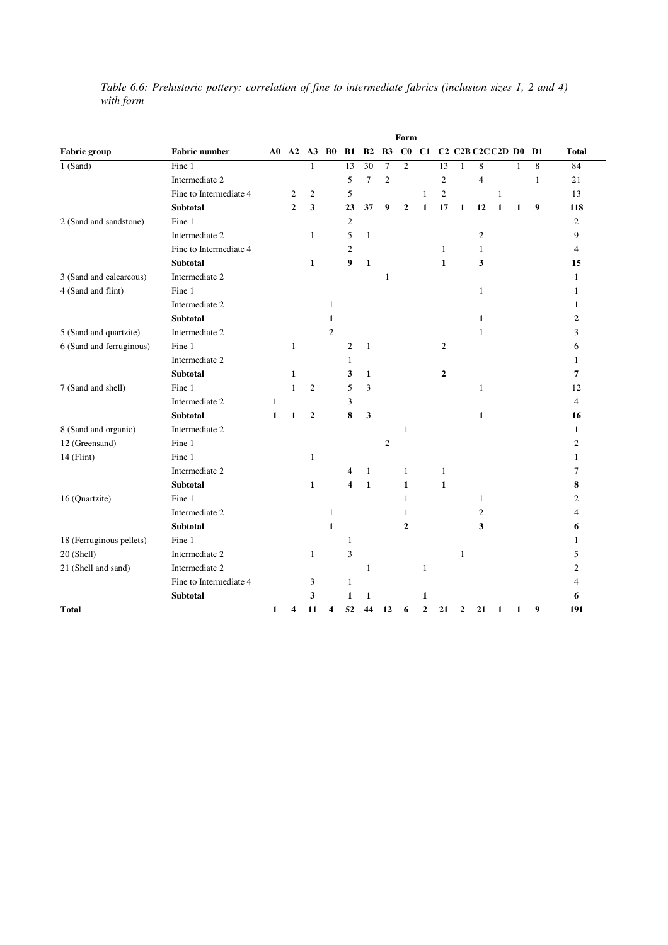|           |  |  | Table 6.6: Prehistoric pottery: correlation of fine to intermediate fabrics (inclusion sizes 1, 2 and 4) |  |  |  |
|-----------|--|--|----------------------------------------------------------------------------------------------------------|--|--|--|
| with form |  |  |                                                                                                          |  |  |  |

|                          |                        |              |                |                        |                |                |                |                | Form             |                |                |              |                                                                               |              |              |    |                |
|--------------------------|------------------------|--------------|----------------|------------------------|----------------|----------------|----------------|----------------|------------------|----------------|----------------|--------------|-------------------------------------------------------------------------------|--------------|--------------|----|----------------|
| <b>Fabric</b> group      | <b>Fabric number</b>   | A0           |                | $A2 \quad A3 \quad B0$ |                | <b>B1</b>      | B <sub>2</sub> | <b>B3</b>      | C <sub>0</sub>   | C1             |                |              | C <sub>2</sub> C <sub>2</sub> B C <sub>2</sub> C <sub>2</sub> D <sub>D0</sub> |              |              | D1 | <b>Total</b>   |
| $\overline{1}$ (Sand)    | Fine 1                 |              |                | 1                      |                | 13             | 30             | 7              | $\mathbf{2}$     |                | 13             | 1            | 8                                                                             |              | 1            | 8  | 84             |
|                          | Intermediate 2         |              |                |                        |                | 5              | $\overline{7}$ | $\overline{c}$ |                  |                | $\mathfrak{2}$ |              | $\overline{4}$                                                                |              |              | 1  | 21             |
|                          | Fine to Intermediate 4 |              | $\mathfrak{2}$ | $\overline{c}$         |                | 5              |                |                |                  | $\mathbf{1}$   | $\mathbf{2}$   |              |                                                                               | $\mathbf{1}$ |              |    | 13             |
|                          | <b>Subtotal</b>        |              | $\overline{2}$ | 3                      |                | 23             | 37             | 9              | $\boldsymbol{2}$ | $\mathbf{1}$   | 17             | $\mathbf{1}$ | 12                                                                            | $\mathbf{1}$ | $\mathbf{1}$ | 9  | 118            |
| 2 (Sand and sandstone)   | Fine 1                 |              |                |                        |                | $\overline{c}$ |                |                |                  |                |                |              |                                                                               |              |              |    | $\overline{2}$ |
|                          | Intermediate 2         |              |                | $\mathbf{1}$           |                | 5              | $\mathbf{1}$   |                |                  |                |                |              | $\overline{c}$                                                                |              |              |    | 9              |
|                          | Fine to Intermediate 4 |              |                |                        |                | $\overline{c}$ |                |                |                  |                | 1              |              | 1                                                                             |              |              |    | $\overline{4}$ |
|                          | <b>Subtotal</b>        |              |                | 1                      |                | 9              | $\mathbf{1}$   |                |                  |                | 1              |              | 3                                                                             |              |              |    | 15             |
| 3 (Sand and calcareous)  | Intermediate 2         |              |                |                        |                |                |                | 1              |                  |                |                |              |                                                                               |              |              |    | 1              |
| 4 (Sand and flint)       | Fine 1                 |              |                |                        |                |                |                |                |                  |                |                |              | $\mathbf{1}$                                                                  |              |              |    | 1              |
|                          | Intermediate 2         |              |                |                        | $\mathbf{1}$   |                |                |                |                  |                |                |              |                                                                               |              |              |    | 1              |
|                          | <b>Subtotal</b>        |              |                |                        | 1              |                |                |                |                  |                |                |              | 1                                                                             |              |              |    | 2              |
| 5 (Sand and quartzite)   | Intermediate 2         |              |                |                        | $\overline{c}$ |                |                |                |                  |                |                |              | 1                                                                             |              |              |    | 3              |
| 6 (Sand and ferruginous) | Fine 1                 |              | $\mathbf{1}$   |                        |                | $\overline{c}$ | $\mathbf{1}$   |                |                  |                | 2              |              |                                                                               |              |              |    | 6              |
|                          | Intermediate 2         |              |                |                        |                | $\mathbf{1}$   |                |                |                  |                |                |              |                                                                               |              |              |    | 1              |
|                          | <b>Subtotal</b>        |              | 1              |                        |                | 3              | $\mathbf{1}$   |                |                  |                | $\overline{2}$ |              |                                                                               |              |              |    | 7              |
| 7 (Sand and shell)       | Fine 1                 |              | $\mathbf{1}$   | 2                      |                | 5              | 3              |                |                  |                |                |              | 1                                                                             |              |              |    | 12             |
|                          | Intermediate 2         | 1            |                |                        |                | 3              |                |                |                  |                |                |              |                                                                               |              |              |    | $\overline{4}$ |
|                          | <b>Subtotal</b>        | $\mathbf{1}$ | $\mathbf{1}$   | $\mathbf{2}$           |                | 8              | 3              |                |                  |                |                |              | 1                                                                             |              |              |    | 16             |
| 8 (Sand and organic)     | Intermediate 2         |              |                |                        |                |                |                |                | 1                |                |                |              |                                                                               |              |              |    | $\mathbf{1}$   |
| 12 (Greensand)           | Fine 1                 |              |                |                        |                |                |                | 2              |                  |                |                |              |                                                                               |              |              |    | 2              |
| $14$ (Flint)             | Fine 1                 |              |                | 1                      |                |                |                |                |                  |                |                |              |                                                                               |              |              |    | 1              |
|                          | Intermediate 2         |              |                |                        |                | 4              | 1              |                | $\mathbf{1}$     |                | 1              |              |                                                                               |              |              |    | 7              |
|                          | <b>Subtotal</b>        |              |                | 1                      |                | 4              | $\mathbf{1}$   |                | $\mathbf{1}$     |                | $\mathbf{1}$   |              |                                                                               |              |              |    | 8              |
| 16 (Quartzite)           | Fine 1                 |              |                |                        |                |                |                |                | $\mathbf{1}$     |                |                |              | $\mathbf{1}$                                                                  |              |              |    | 2              |
|                          | Intermediate 2         |              |                |                        | 1              |                |                |                | 1                |                |                |              | 2                                                                             |              |              |    | 4              |
|                          | <b>Subtotal</b>        |              |                |                        | $\mathbf{1}$   |                |                |                | $\mathbf{2}$     |                |                |              | 3                                                                             |              |              |    | 6              |
| 18 (Ferruginous pellets) | Fine 1                 |              |                |                        |                | 1              |                |                |                  |                |                |              |                                                                               |              |              |    | 1              |
| 20 (Shell)               | Intermediate 2         |              |                | $\mathbf{1}$           |                | 3              |                |                |                  |                |                | $\mathbf{1}$ |                                                                               |              |              |    | 5              |
| 21 (Shell and sand)      | Intermediate 2         |              |                |                        |                |                | $\mathbf{1}$   |                |                  | $\mathbf{1}$   |                |              |                                                                               |              |              |    | 2              |
|                          | Fine to Intermediate 4 |              |                | 3                      |                | 1              |                |                |                  |                |                |              |                                                                               |              |              |    | 4              |
|                          | <b>Subtotal</b>        |              |                | 3                      |                | 1              | 1              |                |                  | 1              |                |              |                                                                               |              |              |    | 6              |
| <b>Total</b>             |                        | 1            | 4              | 11                     | 4              | 52             | 44             | 12             | 6                | $\overline{2}$ | 21             | $\mathbf{2}$ | 21                                                                            | 1            | 1            | 9  | 191            |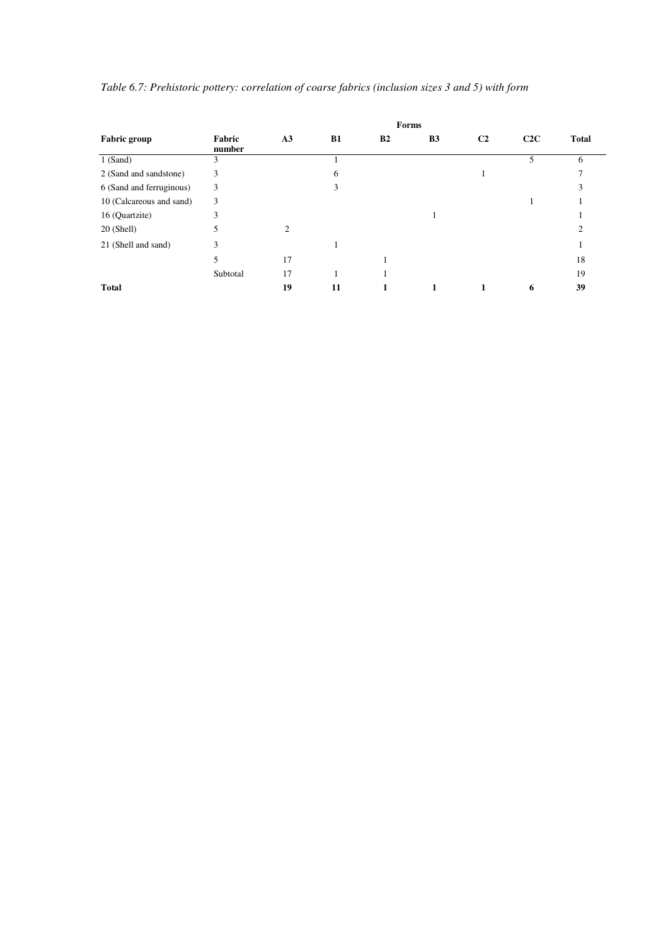|                          |                  |                |    |           | Forms     |                |     |              |
|--------------------------|------------------|----------------|----|-----------|-----------|----------------|-----|--------------|
| <b>Fabric group</b>      | Fabric<br>number | A3             | B1 | <b>B2</b> | <b>B3</b> | C <sub>2</sub> | C2C | <b>Total</b> |
| $1$ (Sand)               | 3                |                |    |           |           |                | 5   | 6            |
| 2 (Sand and sandstone)   | 3                |                | 6  |           |           |                |     |              |
| 6 (Sand and ferruginous) | 3                |                | 3  |           |           |                |     |              |
| 10 (Calcareous and sand) | 3                |                |    |           |           |                |     |              |
| 16 (Quartzite)           | 3                |                |    |           |           |                |     |              |
| $20$ (Shell)             | 5                | $\overline{2}$ |    |           |           |                |     |              |
| 21 (Shell and sand)      | 3                |                |    |           |           |                |     |              |
|                          | 5                | 17             |    |           |           |                |     | 18           |
|                          | Subtotal         | 17             |    |           |           |                |     | 19           |
| <b>Total</b>             |                  | 19             | 11 |           |           |                | 6   | 39           |

*Table 6.7: Prehistoric pottery: correlation of coarse fabrics (inclusion sizes 3 and 5) with form*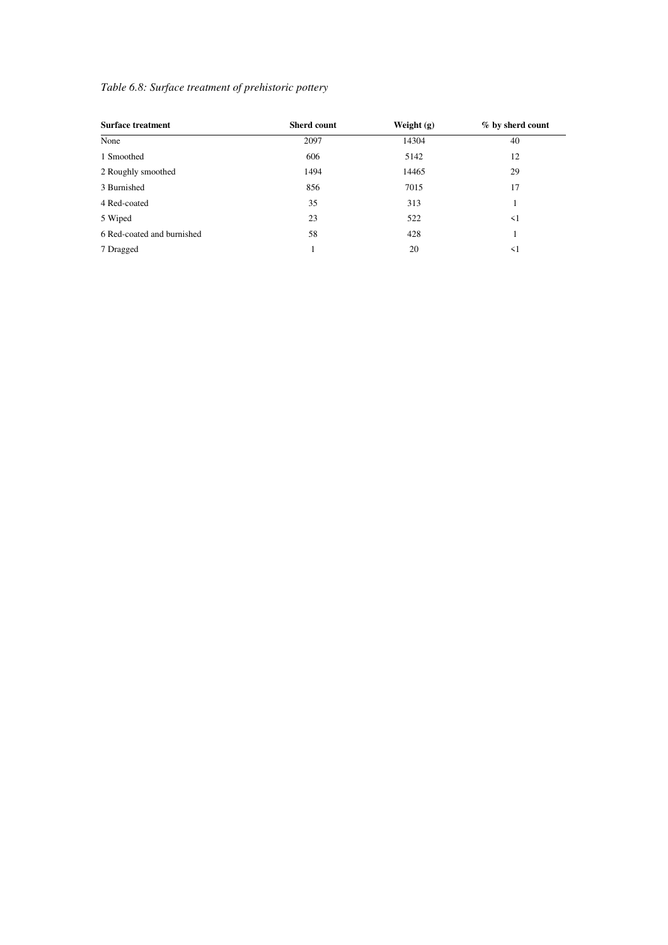### *Table 6.8: Surface treatment of prehistoric pottery*

| <b>Surface treatment</b>   | <b>Sherd count</b> | Weight $(g)$ | % by sherd count |
|----------------------------|--------------------|--------------|------------------|
| None                       | 2097               | 14304        | 40               |
| 1 Smoothed                 | 606                | 5142         | 12               |
| 2 Roughly smoothed         | 1494               | 14465        | 29               |
| 3 Burnished                | 856                | 7015         | 17               |
| 4 Red-coated               | 35                 | 313          | 1                |
| 5 Wiped                    | 23                 | 522          | $\leq$ 1         |
| 6 Red-coated and burnished | 58                 | 428          |                  |
| 7 Dragged                  |                    | 20           | $\leq$ 1         |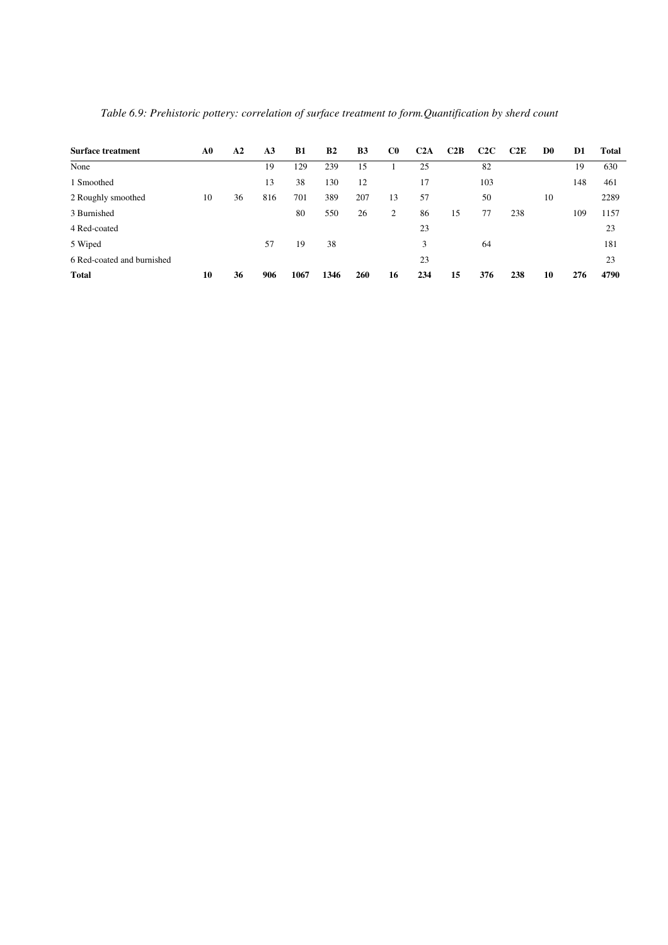| <b>Surface treatment</b>   | ${\bf A0}$ | A <sub>2</sub> | A <sub>3</sub> | <b>B1</b> | B <sub>2</sub> | <b>B3</b> | C <sub>0</sub> | C2A | C2B | C2C | C2E | D <sub>0</sub> | D1  | <b>Total</b> |
|----------------------------|------------|----------------|----------------|-----------|----------------|-----------|----------------|-----|-----|-----|-----|----------------|-----|--------------|
| None                       |            |                | 19             | 129       | 239            | 15        |                | 25  |     | 82  |     |                | 19  | 630          |
| 1 Smoothed                 |            |                | 13             | 38        | 130            | 12        |                | 17  |     | 103 |     |                | 148 | 461          |
| 2 Roughly smoothed         | 10         | 36             | 816            | 701       | 389            | 207       | 13             | 57  |     | 50  |     | 10             |     | 2289         |
| 3 Burnished                |            |                |                | 80        | 550            | 26        | 2              | 86  | 15  | 77  | 238 |                | 109 | 1157         |
| 4 Red-coated               |            |                |                |           |                |           |                | 23  |     |     |     |                |     | 23           |
| 5 Wiped                    |            |                | 57             | 19        | 38             |           |                | 3   |     | 64  |     |                |     | 181          |
| 6 Red-coated and burnished |            |                |                |           |                |           |                | 23  |     |     |     |                |     | 23           |
| <b>Total</b>               | 10         | 36             | 906            | 1067      | 1346           | 260       | 16             | 234 | 15  | 376 | 238 | 10             | 276 | 4790         |

*Table 6.9: Prehistoric pottery: correlation of surface treatment to form.Quantification by sherd count*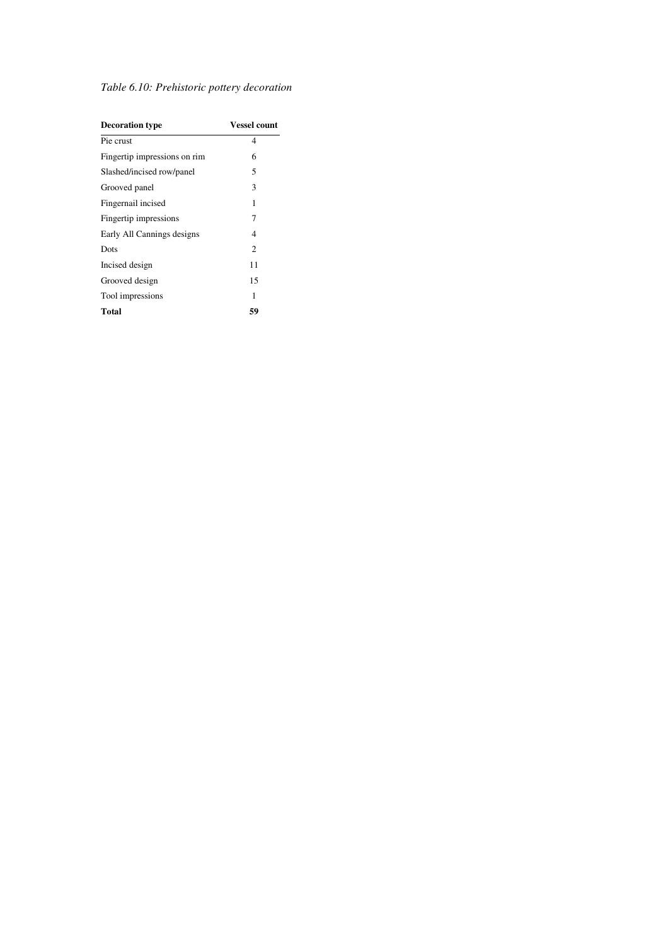|  |  |  |  |  | Table 6.10: Prehistoric pottery decoration |
|--|--|--|--|--|--------------------------------------------|
|--|--|--|--|--|--------------------------------------------|

| <b>Decoration type</b>       | <b>Vessel count</b> |
|------------------------------|---------------------|
| Pie crust                    | 4                   |
| Fingertip impressions on rim | 6                   |
| Slashed/incised row/panel    | 5                   |
| Grooved panel                | 3                   |
| Fingernail incised           | 1                   |
| Fingertip impressions        | 7                   |
| Early All Cannings designs   | 4                   |
| Dots                         | $\overline{c}$      |
| Incised design               | 11                  |
| Grooved design               | 15                  |
| Tool impressions             | 1                   |
| Total                        | 59                  |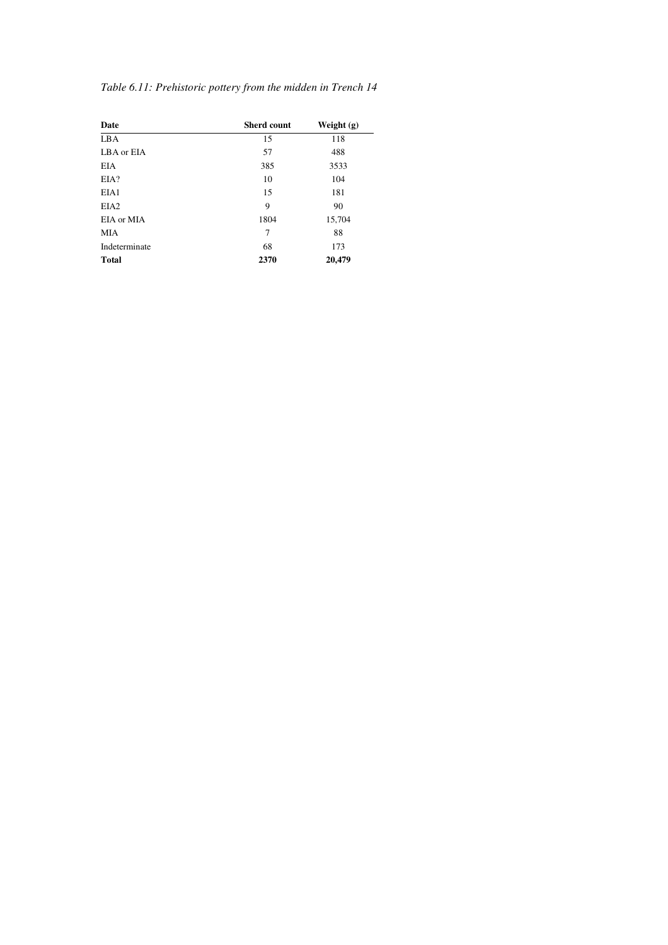| Date             | <b>Sherd count</b> | Weight $(g)$ |
|------------------|--------------------|--------------|
| <b>LBA</b>       | 15                 | 118          |
| LBA or EIA       | 57                 | 488          |
| <b>EIA</b>       | 385                | 3533         |
| EIA?             | 10                 | 104          |
| EIA1             | 15                 | 181          |
| EIA <sub>2</sub> | 9                  | 90           |
| EIA or MIA       | 1804               | 15,704       |
| <b>MIA</b>       | 7                  | 88           |
| Indeterminate    | 68                 | 173          |
| <b>Total</b>     | 2370               | 20,479       |

### *Table 6.11: Prehistoric pottery from the midden in Trench 14*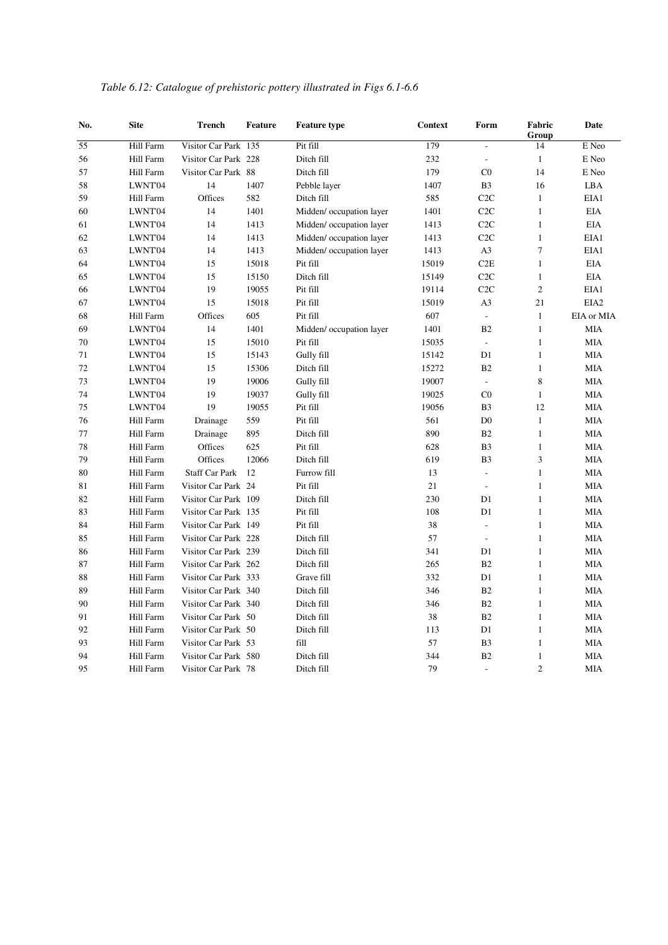| No. | <b>Site</b> | <b>Trench</b>         | <b>Feature</b> | <b>Feature type</b>      | <b>Context</b> | Form                     | Fabric<br>Group | Date             |
|-----|-------------|-----------------------|----------------|--------------------------|----------------|--------------------------|-----------------|------------------|
| 55  | Hill Farm   | Visitor Car Park 135  |                | Pit fill                 | 179            | $\overline{\phantom{a}}$ | 14              | E Neo            |
| 56  | Hill Farm   | Visitor Car Park 228  |                | Ditch fill               | 232            | $\overline{\phantom{a}}$ | $\mathbf{1}$    | E Neo            |
| 57  | Hill Farm   | Visitor Car Park 88   |                | Ditch fill               | 179            | C <sub>0</sub>           | 14              | E Neo            |
| 58  | LWNT'04     | 14                    | 1407           | Pebble layer             | 1407           | B <sub>3</sub>           | 16              | LBA              |
| 59  | Hill Farm   | Offices               | 582            | Ditch fill               | 585            | C2C                      | $\mathbf{1}$    | EIA1             |
| 60  | LWNT'04     | 14                    | 1401           | Midden/ occupation layer | 1401           | C2C                      | $\mathbf{1}$    | <b>EIA</b>       |
| 61  | LWNT'04     | 14                    | 1413           | Midden/ occupation layer | 1413           | C2C                      | $\mathbf{1}$    | <b>EIA</b>       |
| 62  | LWNT'04     | 14                    | 1413           | Midden/ occupation layer | 1413           | C <sub>2</sub> C         | $\mathbf{1}$    | EIA1             |
| 63  | LWNT'04     | 14                    | 1413           | Midden/ occupation layer | 1413           | A3                       | $\tau$          | EIA1             |
| 64  | LWNT'04     | 15                    | 15018          | Pit fill                 | 15019          | C2E                      | $1\,$           | <b>EIA</b>       |
| 65  | LWNT'04     | 15                    | 15150          | Ditch fill               | 15149          | C2C                      | $\mathbf{1}$    | <b>EIA</b>       |
| 66  | LWNT'04     | 19                    | 19055          | Pit fill                 | 19114          | C <sub>2</sub> C         | $\overline{c}$  | EIA1             |
| 67  | LWNT'04     | 15                    | 15018          | Pit fill                 | 15019          | A3                       | 21              | EIA <sub>2</sub> |
| 68  | Hill Farm   | Offices               | 605            | Pit fill                 | 607            | $\overline{\phantom{a}}$ | $1\,$           | EIA or MIA       |
| 69  | LWNT'04     | 14                    | 1401           | Midden/ occupation layer | 1401           | B2                       | $1\,$           | <b>MIA</b>       |
| 70  | LWNT'04     | 15                    | 15010          | Pit fill                 | 15035          | $\Box$                   | $\mathbf{1}$    | <b>MIA</b>       |
| 71  | LWNT'04     | 15                    | 15143          | Gully fill               | 15142          | D1                       | $\mathbf{1}$    | <b>MIA</b>       |
| 72  | LWNT'04     | 15                    | 15306          | Ditch fill               | 15272          | B2                       | $1\,$           | <b>MIA</b>       |
| 73  | LWNT'04     | 19                    | 19006          | Gully fill               | 19007          | $\overline{\phantom{a}}$ | 8               | <b>MIA</b>       |
| 74  | LWNT'04     | 19                    | 19037          | Gully fill               | 19025          | C <sub>0</sub>           | $\mathbf{1}$    | <b>MIA</b>       |
| 75  | LWNT'04     | 19                    | 19055          | Pit fill                 | 19056          | B <sub>3</sub>           | 12              | <b>MIA</b>       |
| 76  | Hill Farm   | Drainage              | 559            | Pit fill                 | 561            | D <sub>0</sub>           | $\mathbf{1}$    | <b>MIA</b>       |
| 77  | Hill Farm   | Drainage              | 895            | Ditch fill               | 890            | B2                       | $1\,$           | <b>MIA</b>       |
| 78  | Hill Farm   | Offices               | 625            | Pit fill                 | 628            | B <sub>3</sub>           | $\mathbf{1}$    | <b>MIA</b>       |
| 79  | Hill Farm   | Offices               | 12066          | Ditch fill               | 619            | B <sub>3</sub>           | 3               | <b>MIA</b>       |
| 80  | Hill Farm   | <b>Staff Car Park</b> | 12             | Furrow fill              | 13             | $\overline{a}$           | $1\,$           | <b>MIA</b>       |
| 81  | Hill Farm   | Visitor Car Park 24   |                | Pit fill                 | 21             | $\frac{1}{2}$            | $\mathbf{1}$    | <b>MIA</b>       |
| 82  | Hill Farm   | Visitor Car Park 109  |                | Ditch fill               | 230            | D1                       | $\mathbf{1}$    | <b>MIA</b>       |
| 83  | Hill Farm   | Visitor Car Park 135  |                | Pit fill                 | 108            | D1                       | $\mathbf{1}$    | <b>MIA</b>       |
| 84  | Hill Farm   | Visitor Car Park 149  |                | Pit fill                 | 38             | $\overline{a}$           | $1\,$           | <b>MIA</b>       |
| 85  | Hill Farm   | Visitor Car Park 228  |                | Ditch fill               | 57             | $\frac{1}{2}$            | $\mathbf{1}$    | <b>MIA</b>       |
| 86  | Hill Farm   | Visitor Car Park 239  |                | Ditch fill               | 341            | D1                       | $\mathbf{1}$    | <b>MIA</b>       |
| 87  | Hill Farm   | Visitor Car Park 262  |                | Ditch fill               | 265            | B2                       | $\mathbf{1}$    | <b>MIA</b>       |
| 88  | Hill Farm   | Visitor Car Park 333  |                | Grave fill               | 332            | D1                       | $1\,$           | <b>MIA</b>       |
| 89  | Hill Farm   | Visitor Car Park 340  |                | Ditch fill               | 346            | B2                       | $1\,$           | <b>MIA</b>       |
| 90  | Hill Farm   | Visitor Car Park 340  |                | Ditch fill               | 346            | B2                       | $\mathbf{1}$    | <b>MIA</b>       |
| 91  | Hill Farm   | Visitor Car Park 50   |                | Ditch fill               | 38             | B2                       | $\mathbf{1}$    | <b>MIA</b>       |
| 92  | Hill Farm   | Visitor Car Park 50   |                | Ditch fill               | 113            | D1                       | $1\,$           | $\rm MIA$        |
| 93  | Hill Farm   | Visitor Car Park 53   |                | fill                     | 57             | B <sub>3</sub>           | $\mathbf{1}$    | <b>MIA</b>       |
| 94  | Hill Farm   | Visitor Car Park 580  |                | Ditch fill               | 344            | B2                       | $\mathbf{1}$    | <b>MIA</b>       |
| 95  | Hill Farm   | Visitor Car Park 78   |                | Ditch fill               | 79             | $\mathcal{L}$            | $\overline{2}$  | <b>MIA</b>       |

### *Table 6.12: Catalogue of prehistoric pottery illustrated in Figs 6.1-6.6*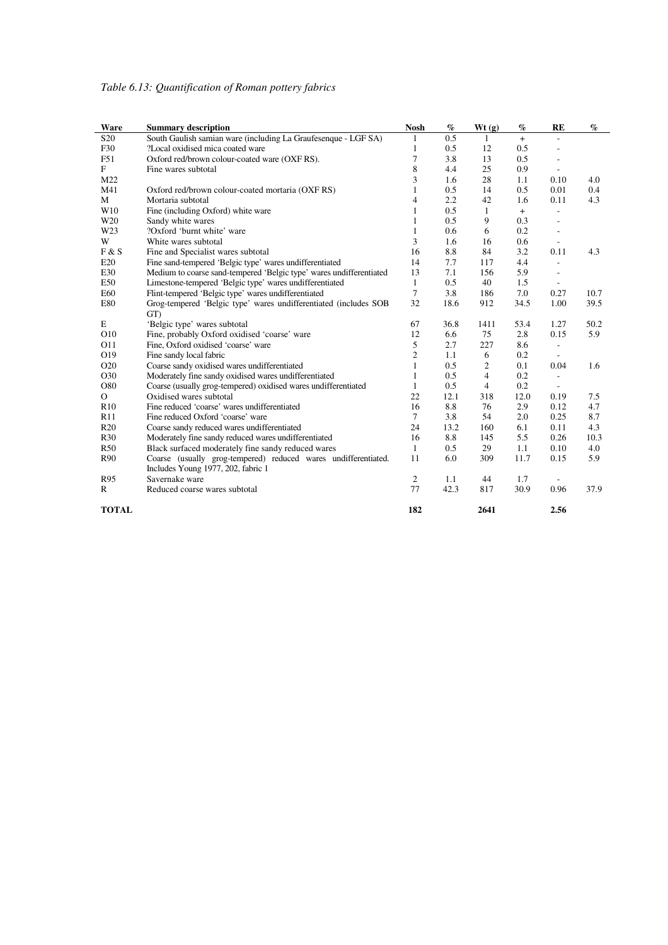| Ware            | <b>Summary description</b>                                                                           | <b>Nosh</b>    | $\%$ | Wt(g)          | $\%$ | RE                           | $\%$ |
|-----------------|------------------------------------------------------------------------------------------------------|----------------|------|----------------|------|------------------------------|------|
| S <sub>20</sub> | South Gaulish samian ware (including La Graufesenque - LGF SA)                                       | 1              | 0.5  | 1              | $+$  | L.                           |      |
| F30             | ?Local oxidised mica coated ware                                                                     | $\mathbf{1}$   | 0.5  | 12             | 0.5  | ÷,                           |      |
| F51             | Oxford red/brown colour-coated ware (OXFRS).                                                         | 7              | 3.8  | 13             | 0.5  | L.                           |      |
| F               | Fine wares subtotal                                                                                  | 8              | 4.4  | 25             | 0.9  | $\overline{\phantom{a}}$     |      |
| M22             |                                                                                                      | 3              | 1.6  | 28             | 1.1  | 0.10                         | 4.0  |
| M41             | Oxford red/brown colour-coated mortaria (OXF RS)                                                     | 1              | 0.5  | 14             | 0.5  | 0.01                         | 0.4  |
| M               | Mortaria subtotal                                                                                    | $\overline{4}$ | 2.2  | 42             | 1.6  | 0.11                         | 4.3  |
| W10             | Fine (including Oxford) white ware                                                                   | 1              | 0.5  | $\mathbf{1}$   | $+$  | $\qquad \qquad \blacksquare$ |      |
| W <sub>20</sub> | Sandy white wares                                                                                    | 1              | 0.5  | 9              | 0.3  | L.                           |      |
| W23             | ?Oxford 'burnt white' ware                                                                           | 1              | 0.6  | 6              | 0.2  |                              |      |
| W               | White wares subtotal                                                                                 | 3              | 1.6  | 16             | 0.6  | L,                           |      |
| F & S           | Fine and Specialist wares subtotal                                                                   | 16             | 8.8  | 84             | 3.2  | 0.11                         | 4.3  |
| E20             | Fine sand-tempered 'Belgic type' wares undifferentiated                                              | 14             | 7.7  | 117            | 4.4  | $\overline{\phantom{a}}$     |      |
| E30             | Medium to coarse sand-tempered 'Belgic type' wares undifferentiated                                  | 13             | 7.1  | 156            | 5.9  | ÷,                           |      |
| E50             | Limestone-tempered 'Belgic type' wares undifferentiated                                              | $\mathbf{1}$   | 0.5  | 40             | 1.5  | $\overline{\phantom{a}}$     |      |
| E60             | Flint-tempered 'Belgic type' wares undifferentiated                                                  | $\tau$         | 3.8  | 186            | 7.0  | 0.27                         | 10.7 |
| E80             | Grog-tempered 'Belgic type' wares undifferentiated (includes SOB<br>GT)                              | 32             | 18.6 | 912            | 34.5 | 1.00                         | 39.5 |
| E               | 'Belgic type' wares subtotal                                                                         | 67             | 36.8 | 1411           | 53.4 | 1.27                         | 50.2 |
| O10             | Fine, probably Oxford oxidised 'coarse' ware                                                         | 12             | 6.6  | 75             | 2.8  | 0.15                         | 5.9  |
| O11             | Fine, Oxford oxidised 'coarse' ware                                                                  | 5              | 2.7  | 227            | 8.6  | L.                           |      |
| O19             | Fine sandy local fabric                                                                              | $\mathfrak{2}$ | 1.1  | 6              | 0.2  | $\overline{\phantom{a}}$     |      |
| O <sub>20</sub> | Coarse sandy oxidised wares undifferentiated                                                         | 1              | 0.5  | $\overline{c}$ | 0.1  | 0.04                         | 1.6  |
| O30             | Moderately fine sandy oxidised wares undifferentiated                                                | $\mathbf{1}$   | 0.5  | $\overline{4}$ | 0.2  | $\qquad \qquad \blacksquare$ |      |
| O80             | Coarse (usually grog-tempered) oxidised wares undifferentiated                                       | 1              | 0.5  | $\overline{4}$ | 0.2  |                              |      |
| $\mathcal{O}$   | Oxidised wares subtotal                                                                              | 22             | 12.1 | 318            | 12.0 | 0.19                         | 7.5  |
| R10             | Fine reduced 'coarse' wares undifferentiated                                                         | 16             | 8.8  | 76             | 2.9  | 0.12                         | 4.7  |
| R11             | Fine reduced Oxford 'coarse' ware                                                                    | $\tau$         | 3.8  | 54             | 2.0  | 0.25                         | 8.7  |
| R20             | Coarse sandy reduced wares undifferentiated                                                          | 24             | 13.2 | 160            | 6.1  | 0.11                         | 4.3  |
| <b>R30</b>      | Moderately fine sandy reduced wares undifferentiated                                                 | 16             | 8.8  | 145            | 5.5  | 0.26                         | 10.3 |
| <b>R50</b>      | Black surfaced moderately fine sandy reduced wares                                                   | 1              | 0.5  | 29             | 1.1  | 0.10                         | 4.0  |
| R90             | Coarse (usually grog-tempered) reduced wares undifferentiated.<br>Includes Young 1977, 202, fabric 1 | 11             | 6.0  | 309            | 11.7 | 0.15                         | 5.9  |
| R95             | Savernake ware                                                                                       | 2              | 1.1  | 44             | 1.7  |                              |      |
| $\mathbb{R}$    | Reduced coarse wares subtotal                                                                        | 77             | 42.3 | 817            | 30.9 | 0.96                         | 37.9 |
| <b>TOTAL</b>    |                                                                                                      | 182            |      | 2641           |      | 2.56                         |      |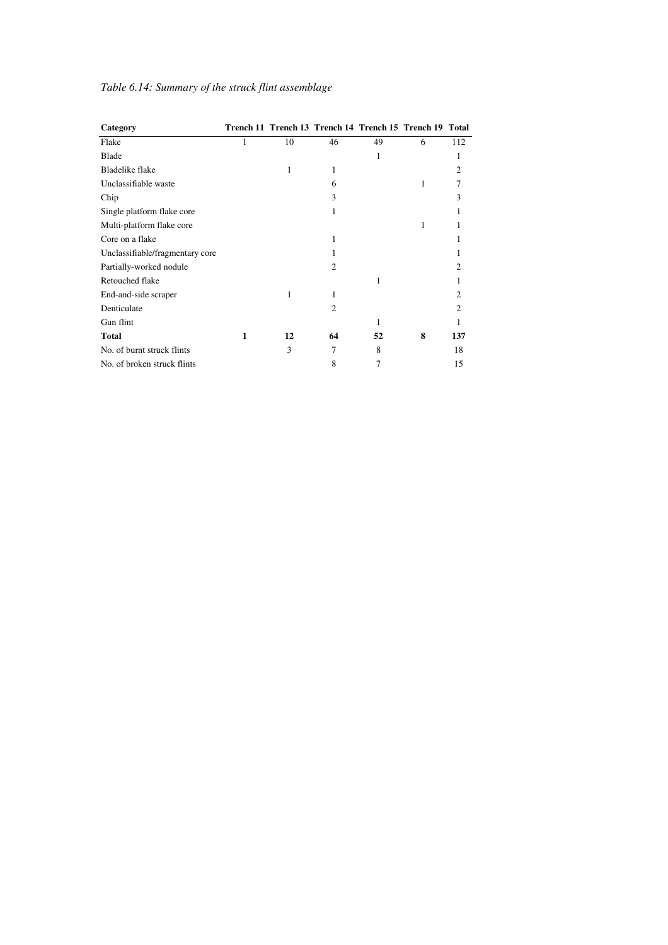| Category                        |   |    | Trench 11 Trench 13 Trench 14 Trench 15 Trench 19 Total |    |   |                |
|---------------------------------|---|----|---------------------------------------------------------|----|---|----------------|
| Flake                           | 1 | 10 | 46                                                      | 49 | 6 | 112            |
| Blade                           |   |    |                                                         | 1  |   | 1              |
| <b>Bladelike flake</b>          |   | 1  | 1                                                       |    |   | $\overline{c}$ |
| Unclassifiable waste            |   |    | 6                                                       |    | 1 | 7              |
| Chip                            |   |    | 3                                                       |    |   | 3              |
| Single platform flake core      |   |    | 1                                                       |    |   |                |
| Multi-platform flake core       |   |    |                                                         |    | 1 |                |
| Core on a flake                 |   |    | 1                                                       |    |   |                |
| Unclassifiable/fragmentary core |   |    | 1                                                       |    |   |                |
| Partially-worked nodule         |   |    | $\overline{c}$                                          |    |   | 2              |
| Retouched flake                 |   |    |                                                         | 1  |   |                |
| End-and-side scraper            |   | 1  | 1                                                       |    |   | 2              |
| Denticulate                     |   |    | $\mathfrak{D}$                                          |    |   | $\mathcal{D}$  |
| Gun flint                       |   |    |                                                         | 1  |   |                |
| <b>Total</b>                    | 1 | 12 | 64                                                      | 52 | 8 | 137            |
| No. of burnt struck flints      |   | 3  | 7                                                       | 8  |   | 18             |
| No. of broken struck flints     |   |    | 8                                                       | 7  |   | 15             |

### *Table 6.14: Summary of the struck flint assemblage*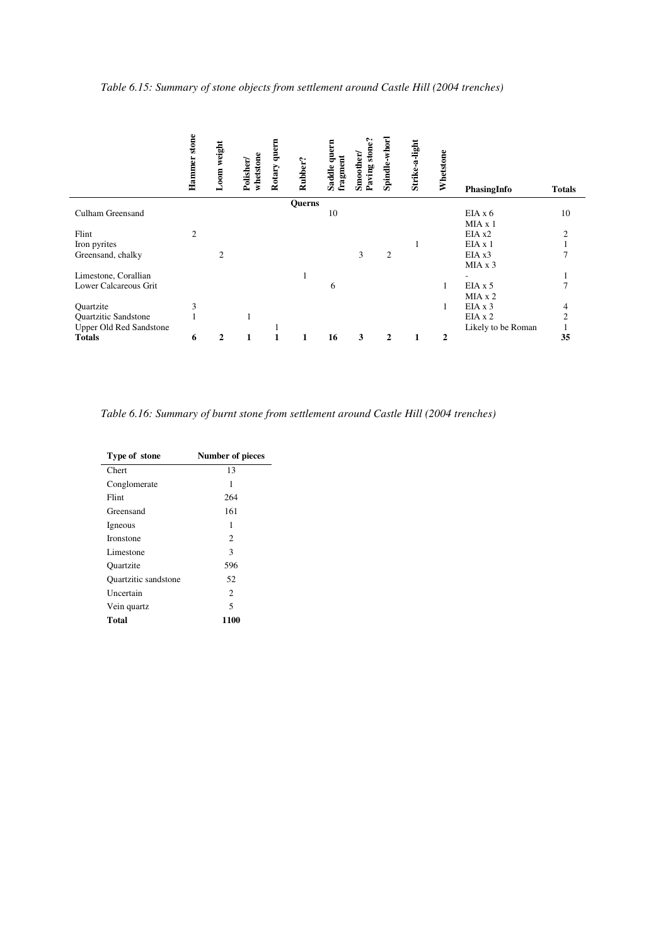|                         | stone          |              |                        |        |         |                   |                    |                |                |                |                    |               |
|-------------------------|----------------|--------------|------------------------|--------|---------|-------------------|--------------------|----------------|----------------|----------------|--------------------|---------------|
|                         | Hammer         | Loom weight  | whetstone<br>Polisher/ | quern  | Rubber? | quern<br>fragment | stone'<br>Smoother | Spindle-whor   | Strike-a-light | Whetstone      |                    |               |
|                         |                |              |                        | Rotary |         | Saddle            | Paving             |                |                |                | PhasingInfo        | <b>Totals</b> |
|                         |                |              |                        |        | Querns  |                   |                    |                |                |                |                    |               |
| Culham Greensand        |                |              |                        |        |         | 10                |                    |                |                |                | EIAx6              | 10            |
|                         |                |              |                        |        |         |                   |                    |                |                |                | MIA x 1            |               |
| Flint                   | $\overline{c}$ |              |                        |        |         |                   |                    |                |                |                | EIA x2             | $\mathcal{D}$ |
| Iron pyrites            |                |              |                        |        |         |                   |                    |                | 1              |                | EIA x 1            |               |
| Greensand, chalky       |                | 2            |                        |        |         |                   | 3                  | $\overline{2}$ |                |                | EIA x3             |               |
|                         |                |              |                        |        |         |                   |                    |                |                |                | MIAx3              |               |
| Limestone, Corallian    |                |              |                        |        |         |                   |                    |                |                |                |                    |               |
| Lower Calcareous Grit   |                |              |                        |        |         | 6                 |                    |                |                | 1              | $EIA \times 5$     |               |
|                         |                |              |                        |        |         |                   |                    |                |                |                | MIAx2              |               |
| Quartzite               | 3              |              |                        |        |         |                   |                    |                |                | 1              | EIAx3              | 4             |
| Quartzitic Sandstone    |                |              |                        |        |         |                   |                    |                |                |                | EIA x 2            | 2             |
| Upper Old Red Sandstone |                |              |                        |        |         |                   |                    |                |                |                | Likely to be Roman |               |
| <b>Totals</b>           | 6              | $\mathbf{2}$ | $\mathbf{1}$           |        | 1       | 16                | 3                  | 2              |                | $\overline{2}$ |                    | 35            |

*Table 6.16: Summary of burnt stone from settlement around Castle Hill (2004 trenches)* 

| Type of stone               | <b>Number of pieces</b> |
|-----------------------------|-------------------------|
| Chert                       | 13                      |
| Conglomerate                | 1                       |
| Flint                       | 264                     |
| Greensand                   | 161                     |
| Igneous                     | 1                       |
| <b>Ironstone</b>            | 2                       |
| Limestone                   | 3                       |
| <b>Quartzite</b>            | 596                     |
| <b>Ouartzitic</b> sandstone | 52                      |
| Uncertain                   | $\overline{c}$          |
| Vein quartz                 | 5                       |
| Total                       | 1100                    |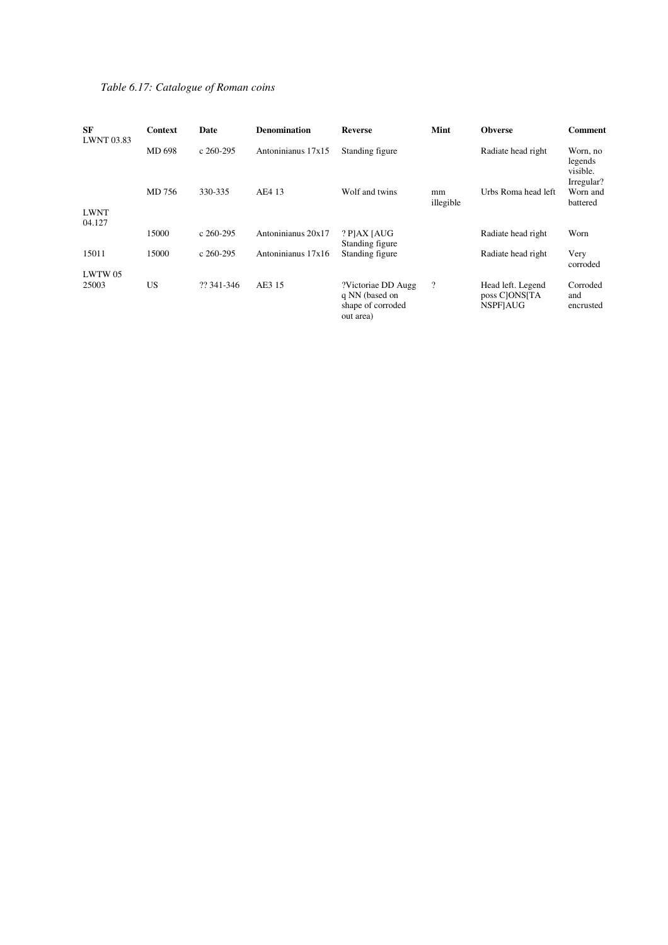### *Table 6.17: Catalogue of Roman coins*

| SF<br><b>LWNT 03.83</b> | Context   | Date        | <b>Denomination</b> | <b>Reverse</b>                                                         | Mint            | <b>Obverse</b>                                         | Comment                            |
|-------------------------|-----------|-------------|---------------------|------------------------------------------------------------------------|-----------------|--------------------------------------------------------|------------------------------------|
|                         | MD 698    | $c$ 260-295 | Antoninianus 17x15  | Standing figure                                                        |                 | Radiate head right                                     | Worn, no<br>legends<br>visible.    |
| <b>LWNT</b>             | MD 756    | 330-335     | AE4 13              | Wolf and twins                                                         | mm<br>illegible | Urbs Roma head left                                    | Irregular?<br>Worn and<br>battered |
| 04.127                  | 15000     | $c$ 260-295 | Antoninianus 20x17  | ? PJAX JAUG                                                            |                 | Radiate head right                                     | Worn                               |
| 15011                   | 15000     | $c$ 260-295 | Antoninianus 17x16  | Standing figure<br>Standing figure                                     |                 | Radiate head right                                     | Very<br>corroded                   |
| LWTW 05<br>25003        | <b>US</b> | ?? 341-346  | AE3 15              | ?Victoriae DD Augg<br>q NN (based on<br>shape of corroded<br>out area) | $\overline{?}$  | Head left. Legend<br>poss C[ONS[TA]<br><b>NSPFIAUG</b> | Corroded<br>and<br>encrusted       |